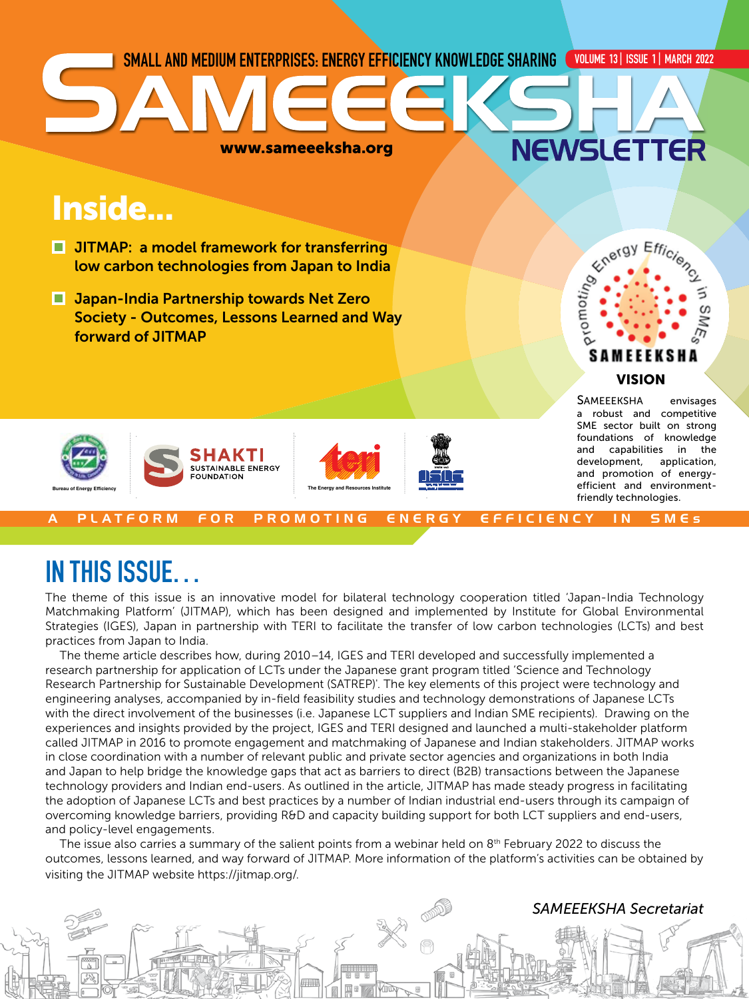

# IN THIS ISSUE…

The theme of this issue is an innovative model for bilateral technology cooperation titled 'Japan-India Technology Matchmaking Platform' (JITMAP), which has been designed and implemented by Institute for Global Environmental Strategies (IGES), Japan in partnership with TERI to facilitate the transfer of low carbon technologies (LCTs) and best practices from Japan to India.

The theme article describes how, during 2010–14, IGES and TERI developed and successfully implemented a research partnership for application of LCTs under the Japanese grant program titled 'Science and Technology Research Partnership for Sustainable Development (SATREP)'. The key elements of this project were technology and engineering analyses, accompanied by in-field feasibility studies and technology demonstrations of Japanese LCTs with the direct involvement of the businesses (i.e. Japanese LCT suppliers and Indian SME recipients). Drawing on the experiences and insights provided by the project, IGES and TERI designed and launched a multi-stakeholder platform called JITMAP in 2016 to promote engagement and matchmaking of Japanese and Indian stakeholders. JITMAP works in close coordination with a number of relevant public and private sector agencies and organizations in both India and Japan to help bridge the knowledge gaps that act as barriers to direct (B2B) transactions between the Japanese technology providers and Indian end-users. As outlined in the article, JITMAP has made steady progress in facilitating the adoption of Japanese LCTs and best practices by a number of Indian industrial end-users through its campaign of overcoming knowledge barriers, providing R&D and capacity building support for both LCT suppliers and end-users, and policy-level engagements.

The issue also carries a summary of the salient points from a webinar held on 8<sup>th</sup> February 2022 to discuss the outcomes, lessons learned, and way forward of JITMAP. More information of the platform's activities can be obtained by visiting the JITMAP website https://jitmap.org/.

# *SAMEEEKSHA Secretariat*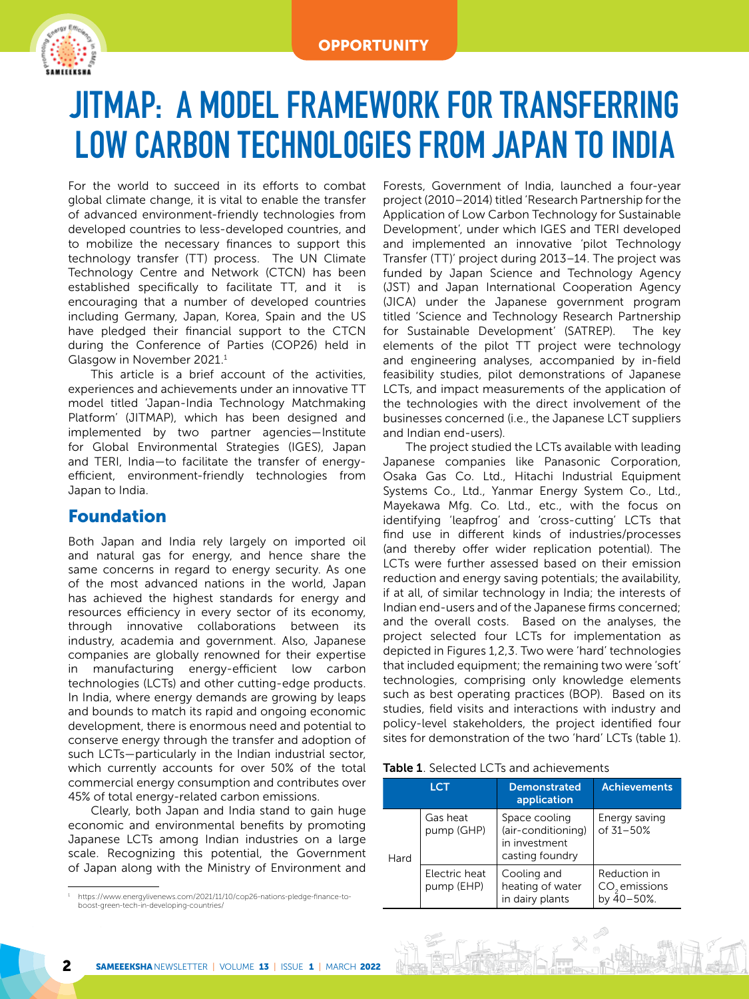

# JITMAP: A MODEL FRAMEWORK FOR TRANSFERRING LOW CARBON TECHNOLOGIES FROM JAPAN TO INDIA

For the world to succeed in its efforts to combat global climate change, it is vital to enable the transfer of advanced environment-friendly technologies from developed countries to less-developed countries, and to mobilize the necessary finances to support this technology transfer (TT) process. The UN Climate Technology Centre and Network (CTCN) has been established specifically to facilitate TT, and it is encouraging that a number of developed countries including Germany, Japan, Korea, Spain and the US have pledged their financial support to the CTCN during the Conference of Parties (COP26) held in Glasgow in November 2021.<sup>1</sup>

This article is a brief account of the activities, experiences and achievements under an innovative TT model titled 'Japan-India Technology Matchmaking Platform' (JITMAP), which has been designed and implemented by two partner agencies—Institute for Global Environmental Strategies (IGES), Japan and TERI, India—to facilitate the transfer of energyefficient, environment-friendly technologies from Japan to India.

# Foundation

Both Japan and India rely largely on imported oil and natural gas for energy, and hence share the same concerns in regard to energy security. As one of the most advanced nations in the world, Japan has achieved the highest standards for energy and resources efficiency in every sector of its economy, through innovative collaborations between its industry, academia and government. Also, Japanese companies are globally renowned for their expertise in manufacturing energy-efficient low carbon technologies (LCTs) and other cutting-edge products. In India, where energy demands are growing by leaps and bounds to match its rapid and ongoing economic development, there is enormous need and potential to conserve energy through the transfer and adoption of such LCTs—particularly in the Indian industrial sector, which currently accounts for over 50% of the total commercial energy consumption and contributes over 45% of total energy-related carbon emissions.

Clearly, both Japan and India stand to gain huge economic and environmental benefits by promoting Japanese LCTs among Indian industries on a large scale. Recognizing this potential, the Government of Japan along with the Ministry of Environment and

Forests, Government of India, launched a four-year project (2010–2014) titled 'Research Partnership for the Application of Low Carbon Technology for Sustainable Development', under which IGES and TERI developed and implemented an innovative 'pilot Technology Transfer (TT)' project during 2013–14. The project was funded by Japan Science and Technology Agency (JST) and Japan International Cooperation Agency (JICA) under the Japanese government program titled 'Science and Technology Research Partnership for Sustainable Development' (SATREP). The key elements of the pilot TT project were technology and engineering analyses, accompanied by in-field feasibility studies, pilot demonstrations of Japanese LCTs, and impact measurements of the application of the technologies with the direct involvement of the businesses concerned (i.e., the Japanese LCT suppliers and Indian end-users).

The project studied the LCTs available with leading Japanese companies like Panasonic Corporation, Osaka Gas Co. Ltd., Hitachi Industrial Equipment Systems Co., Ltd., Yanmar Energy System Co., Ltd., Mayekawa Mfg. Co. Ltd., etc., with the focus on identifying 'leapfrog' and 'cross-cutting' LCTs that find use in different kinds of industries/processes (and thereby offer wider replication potential). The LCTs were further assessed based on their emission reduction and energy saving potentials; the availability, if at all, of similar technology in India; the interests of Indian end-users and of the Japanese firms concerned; and the overall costs. Based on the analyses, the project selected four LCTs for implementation as depicted in Figures 1,2,3. Two were 'hard' technologies that included equipment; the remaining two were 'soft' technologies, comprising only knowledge elements such as best operating practices (BOP). Based on its studies, field visits and interactions with industry and policy-level stakeholders, the project identified four sites for demonstration of the two 'hard' LCTs (table 1).

| <b>Table 1</b> . Selected LCTs and achievements |  |  |  |  |
|-------------------------------------------------|--|--|--|--|
|-------------------------------------------------|--|--|--|--|

| LCT  |                             | <b>Demonstrated</b><br>application                                      | <b>Achievements</b>                           |
|------|-----------------------------|-------------------------------------------------------------------------|-----------------------------------------------|
| Hard | Gas heat<br>pump (GHP)      | Space cooling<br>(air-conditioning)<br>in investment<br>casting foundry | Energy saving<br>of 31-50%                    |
|      | Electric heat<br>pump (EHP) | Cooling and<br>heating of water<br>in dairy plants                      | Reduction in<br>$CO2$ emissions<br>by 40-50%. |

<sup>1</sup> https://www.energylivenews.com/2021/11/10/cop26-nations-pledge-finance-toboost-green-tech-in-developing-countries/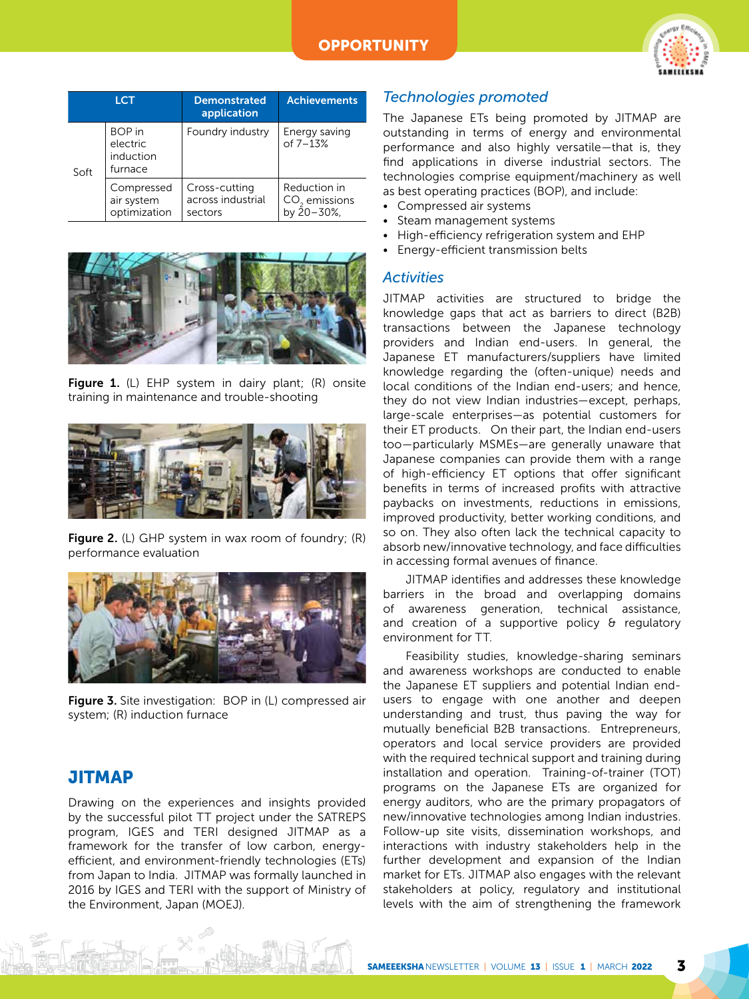

| <b>LCT</b> |                                                   | <b>Demonstrated</b><br>application            | <b>Achievements</b>                           |
|------------|---------------------------------------------------|-----------------------------------------------|-----------------------------------------------|
| Soft       | <b>BOP</b> in<br>electric<br>induction<br>furnace | Foundry industry                              | Energy saving<br>of $7 - 13%$                 |
|            | Compressed<br>air system<br>optimization          | Cross-cutting<br>across industrial<br>sectors | Reduction in<br>$CO2$ emissions<br>by 20-30%, |



Figure 1. (L) EHP system in dairy plant;  $(R)$  onsite training in maintenance and trouble-shooting



Figure 2. (L) GHP system in wax room of foundry; (R) performance evaluation



Figure 3. Site investigation: BOP in (L) compressed air system; (R) induction furnace

# **JITMAP**

Drawing on the experiences and insights provided by the successful pilot TT project under the SATREPS program, IGES and TERI designed JITMAP as a framework for the transfer of low carbon, energyefficient, and environment-friendly technologies (ETs) from Japan to India. JITMAP was formally launched in 2016 by IGES and TERI with the support of Ministry of the Environment, Japan (MOEJ).

## *Technologies promoted*

The Japanese ETs being promoted by JITMAP are outstanding in terms of energy and environmental performance and also highly versatile—that is, they find applications in diverse industrial sectors. The technologies comprise equipment/machinery as well as best operating practices (BOP), and include:

- Compressed air systems
- Steam management systems
- High-efficiency refrigeration system and EHP
- Energy-efficient transmission belts

#### *Activities*

JITMAP activities are structured to bridge the knowledge gaps that act as barriers to direct (B2B) transactions between the Japanese technology providers and Indian end-users. In general, the Japanese ET manufacturers/suppliers have limited knowledge regarding the (often-unique) needs and local conditions of the Indian end-users; and hence, they do not view Indian industries—except, perhaps, large-scale enterprises—as potential customers for their ET products. On their part, the Indian end-users too—particularly MSMEs—are generally unaware that Japanese companies can provide them with a range of high-efficiency ET options that offer significant benefits in terms of increased profits with attractive paybacks on investments, reductions in emissions, improved productivity, better working conditions, and so on. They also often lack the technical capacity to absorb new/innovative technology, and face difficulties in accessing formal avenues of finance.

JITMAP identifies and addresses these knowledge barriers in the broad and overlapping domains of awareness generation, technical assistance, and creation of a supportive policy & regulatory environment for TT.

Feasibility studies, knowledge-sharing seminars and awareness workshops are conducted to enable the Japanese ET suppliers and potential Indian endusers to engage with one another and deepen understanding and trust, thus paving the way for mutually beneficial B2B transactions. Entrepreneurs, operators and local service providers are provided with the required technical support and training during installation and operation. Training-of-trainer (TOT) programs on the Japanese ETs are organized for energy auditors, who are the primary propagators of new/innovative technologies among Indian industries. Follow-up site visits, dissemination workshops, and interactions with industry stakeholders help in the further development and expansion of the Indian market for ETs. JITMAP also engages with the relevant stakeholders at policy, regulatory and institutional levels with the aim of strengthening the framework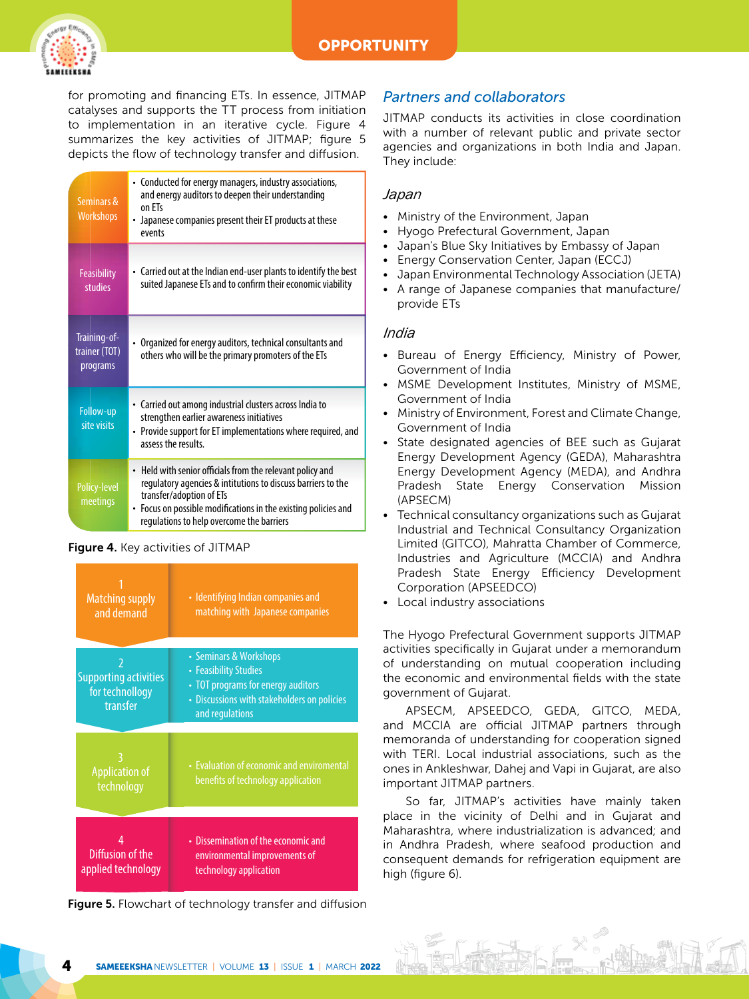

for promoting and financing ETs. In essence, JITMAP catalyses and supports the TT process from initiation to implementation in an iterative cycle. Figure 4 summarizes the key activities of JITMAP; figure 5 depicts the flow of technology transfer and diffusion.

| Seminars &<br><b>Workshops</b>            | • Conducted for energy managers, industry associations,<br>and energy auditors to deepen their understanding<br>on FTs<br>• Japanese companies present their ET products at these<br>events                                                                        |
|-------------------------------------------|--------------------------------------------------------------------------------------------------------------------------------------------------------------------------------------------------------------------------------------------------------------------|
| <b>Feasibility</b><br><b>studies</b>      | • Carried out at the Indian end-user plants to identify the best<br>suited Japanese ETs and to confirm their economic viability                                                                                                                                    |
| Training-of-<br>trainer (TOT)<br>programs | Organized for energy auditors, technical consultants and<br>others who will be the primary promoters of the ETs                                                                                                                                                    |
| Follow-up<br>site visits                  | • Carried out among industrial clusters across India to<br>strengthen earlier awareness initiatives<br>• Provide support for ET implementations where required, and<br>assess the results                                                                          |
| Policy-level<br>meetings                  | • Held with senior officials from the relevant policy and<br>regulatory agencies & intitutions to discuss barriers to the<br>transfer/adoption of ETs<br>Focus on possible modifications in the existing policies and<br>regulations to help overcome the barriers |

#### Figure 4. Key activities of JITMAP

| <b>Matching supply</b><br>and demand                        | • Identifying Indian companies and<br>matching with Japanese companies                                                                                  |  |
|-------------------------------------------------------------|---------------------------------------------------------------------------------------------------------------------------------------------------------|--|
|                                                             |                                                                                                                                                         |  |
| <b>Supporting activities</b><br>for technollogy<br>transfer | • Seminars & Workshops<br>• Feasibility Studies<br>• TOT programs for energy auditors<br>• Discussions with stakeholders on policies<br>and regulations |  |
|                                                             |                                                                                                                                                         |  |
| <b>Application of</b><br>technology                         | • Evaluation of economic and enviromental<br>benefits of technology application                                                                         |  |
|                                                             |                                                                                                                                                         |  |
| Diffusion of the<br>applied technology                      | • Dissemination of the economic and<br>environmental improvements of<br>technology application                                                          |  |

Figure 5. Flowchart of technology transfer and diffusion

## *Partners and collaborators*

JITMAP conducts its activities in close coordination with a number of relevant public and private sector agencies and organizations in both India and Japan. They include:

#### *Japan*

- Ministry of the Environment, Japan
- Hyogo Prefectural Government, Japan
- Japan's Blue Sky Initiatives by Embassy of Japan
- Energy Conservation Center, Japan (ECCJ)
- Japan Environmental Technology Association (JETA)
- A range of Japanese companies that manufacture/ provide ETs

#### *India*

- Bureau of Energy Efficiency, Ministry of Power, Government of India
- MSME Development Institutes, Ministry of MSME, Government of India
- Ministry of Environment, Forest and Climate Change, Government of India
- State designated agencies of BEE such as Gujarat Energy Development Agency (GEDA), Maharashtra Energy Development Agency (MEDA), and Andhra Pradesh State Energy Conservation Mission (APSECM)
- Technical consultancy organizations such as Gujarat Industrial and Technical Consultancy Organization Limited (GITCO), Mahratta Chamber of Commerce, Industries and Agriculture (MCCIA) and Andhra Pradesh State Energy Efficiency Development Corporation (APSEEDCO)
- Local industry associations

The Hyogo Prefectural Government supports JITMAP activities specifically in Gujarat under a memorandum of understanding on mutual cooperation including the economic and environmental fields with the state government of Gujarat.

APSECM, APSEEDCO, GEDA, GITCO, MEDA, and MCCIA are official JITMAP partners through memoranda of understanding for cooperation signed with TERI. Local industrial associations, such as the ones in Ankleshwar, Dahej and Vapi in Gujarat, are also important JITMAP partners.

So far, JITMAP's activities have mainly taken place in the vicinity of Delhi and in Gujarat and Maharashtra, where industrialization is advanced; and in Andhra Pradesh, where seafood production and consequent demands for refrigeration equipment are high (figure 6).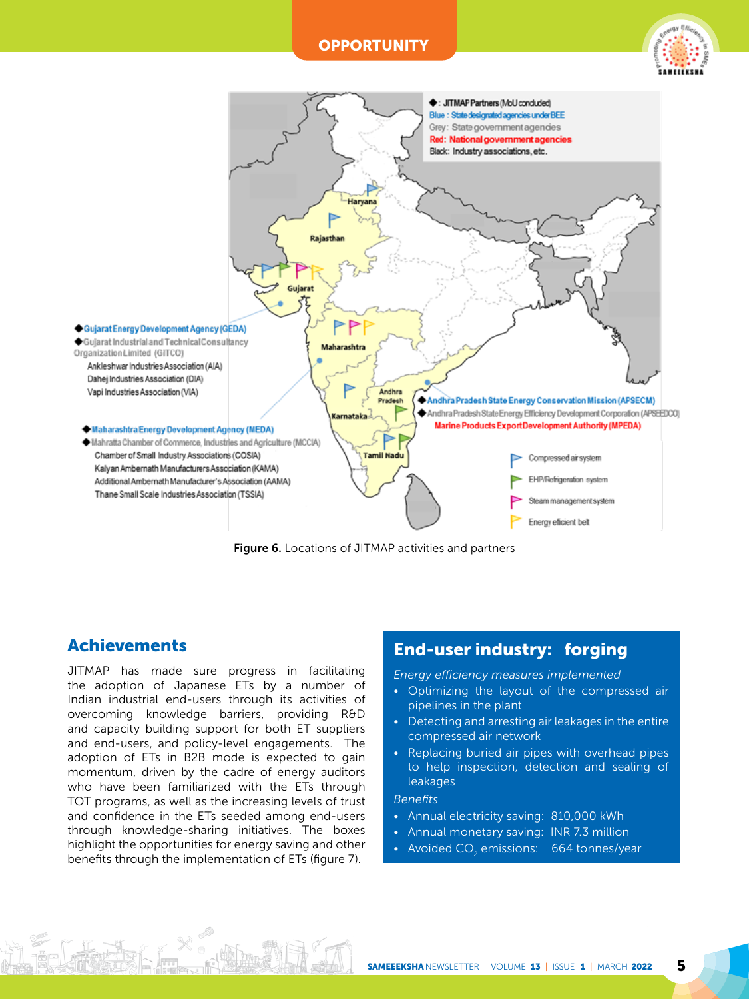#### **OPPORTUNITY**





Figure 6. Locations of JITMAP activities and partners

# Achievements

JITMAP has made sure progress in facilitating the adoption of Japanese ETs by a number of Indian industrial end-users through its activities of overcoming knowledge barriers, providing R&D and capacity building support for both ET suppliers and end-users, and policy-level engagements. The adoption of ETs in B2B mode is expected to gain momentum, driven by the cadre of energy auditors who have been familiarized with the ETs through TOT programs, as well as the increasing levels of trust and confidence in the ETs seeded among end-users through knowledge-sharing initiatives. The boxes highlight the opportunities for energy saving and other benefits through the implementation of ETs (figure 7).

# End-user industry: forging

*Energy efficiency measures implemented*

- Optimizing the layout of the compressed air pipelines in the plant
- Detecting and arresting air leakages in the entire compressed air network
- Replacing buried air pipes with overhead pipes to help inspection, detection and sealing of leakages

#### *Benefits*

- Annual electricity saving: 810,000 kWh
- Annual monetary saving: INR 7.3 million
- Avoided CO $_2$  emissions:  $-$  664 tonnes/year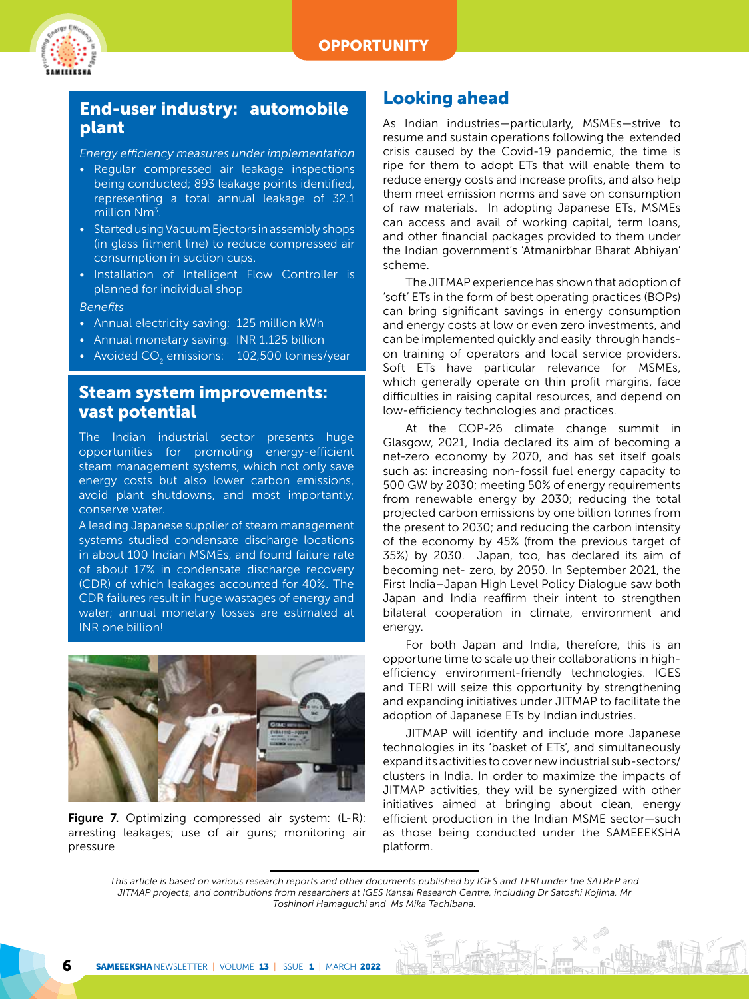

# End-user industry: automobile plant

*Energy efficiency measures under implementation*

- Regular compressed air leakage inspections being conducted; 893 leakage points identified, representing a total annual leakage of 32.1 million Nm<sup>3</sup>
- Started using Vacuum Ejectors in assembly shops (in glass fitment line) to reduce compressed air consumption in suction cups.
- Installation of Intelligent Flow Controller is planned for individual shop

#### *Benefits*

- Annual electricity saving: 125 million kWh
- Annual monetary saving: INR 1.125 billion
- Avoided CO $_{\tiny 2}$  emissions:  $\,$  102,500 tonnes/year  $\,$

### Steam system improvements: vast potential

The Indian industrial sector presents huge opportunities for promoting energy-efficient steam management systems, which not only save energy costs but also lower carbon emissions, avoid plant shutdowns, and most importantly, conserve water.

A leading Japanese supplier of steam management systems studied condensate discharge locations in about 100 Indian MSMEs, and found failure rate of about 17% in condensate discharge recovery (CDR) of which leakages accounted for 40%. The CDR failures result in huge wastages of energy and water; annual monetary losses are estimated at INR one billion!



Figure 7. Optimizing compressed air system: (L-R): arresting leakages; use of air guns; monitoring air pressure

## Looking ahead

As Indian industries—particularly, MSMEs—strive to resume and sustain operations following the extended crisis caused by the Covid-19 pandemic, the time is ripe for them to adopt ETs that will enable them to reduce energy costs and increase profits, and also help them meet emission norms and save on consumption of raw materials. In adopting Japanese ETs, MSMEs can access and avail of working capital, term loans, and other financial packages provided to them under the Indian government's 'Atmanirbhar Bharat Abhiyan' scheme.

The JITMAP experience has shown that adoption of 'soft' ETs in the form of best operating practices (BOPs) can bring significant savings in energy consumption and energy costs at low or even zero investments, and can be implemented quickly and easily through handson training of operators and local service providers. Soft ETs have particular relevance for MSMEs, which generally operate on thin profit margins, face difficulties in raising capital resources, and depend on low-efficiency technologies and practices.

At the COP-26 climate change summit in Glasgow, 2021, India declared its aim of becoming a net-zero economy by 2070, and has set itself goals such as: increasing non-fossil fuel energy capacity to 500 GW by 2030; meeting 50% of energy requirements from renewable energy by 2030; reducing the total projected carbon emissions by one billion tonnes from the present to 2030; and reducing the carbon intensity of the economy by 45% (from the previous target of 35%) by 2030. Japan, too, has declared its aim of becoming net- zero, by 2050. In September 2021, the First India–Japan High Level Policy Dialogue saw both Japan and India reaffirm their intent to strengthen bilateral cooperation in climate, environment and energy.

For both Japan and India, therefore, this is an opportune time to scale up their collaborations in highefficiency environment-friendly technologies. IGES and TERI will seize this opportunity by strengthening and expanding initiatives under JITMAP to facilitate the adoption of Japanese ETs by Indian industries.

JITMAP will identify and include more Japanese technologies in its 'basket of ETs', and simultaneously expand its activities to cover new industrial sub-sectors/ clusters in India. In order to maximize the impacts of JITMAP activities, they will be synergized with other initiatives aimed at bringing about clean, energy efficient production in the Indian MSME sector—such as those being conducted under the SAMEEEKSHA platform.

*This article is based on various research reports and other documents published by IGES and TERI under the SATREP and JITMAP projects, and contributions from researchers at IGES Kansai Research Centre, including Dr Satoshi Kojima, Mr Toshinori Hamaguchi and Ms Mika Tachibana.*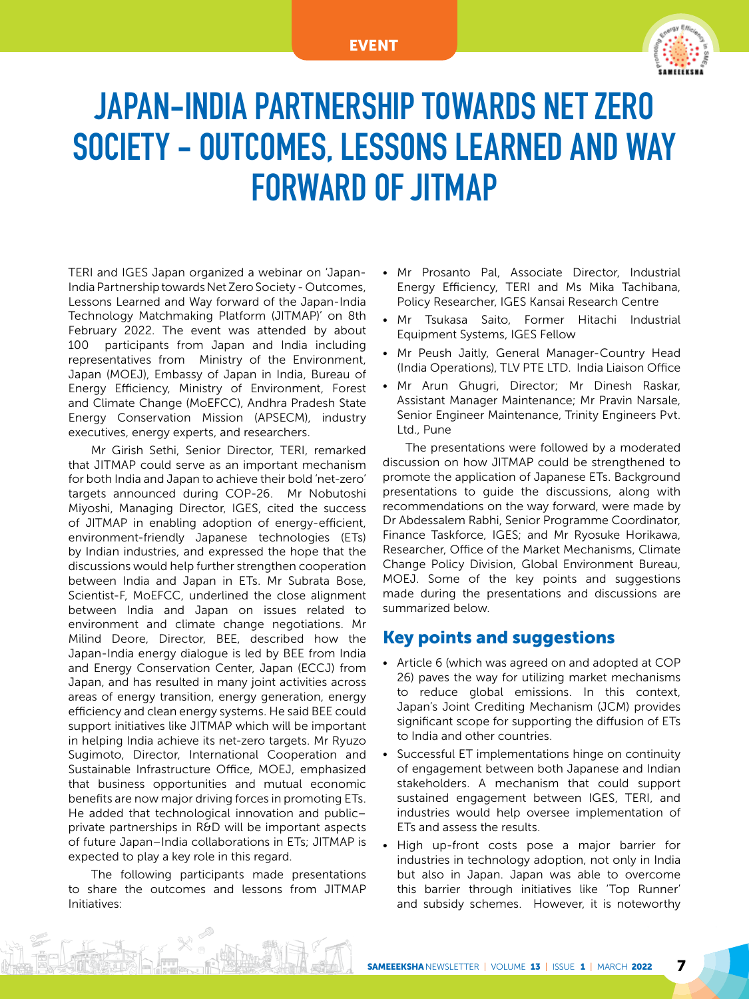#### EVENT



# JAPAN-INDIA PARTNERSHIP TOWARDS NET ZERO SOCIETY - OUTCOMES, LESSONS LEARNED AND WAY FORWARD OF JITMAP

TERI and IGES Japan organized a webinar on 'Japan-India Partnership towards Net Zero Society - Outcomes, Lessons Learned and Way forward of the Japan-India Technology Matchmaking Platform (JITMAP)' on 8th February 2022. The event was attended by about 100 participants from Japan and India including representatives from Ministry of the Environment, Japan (MOEJ), Embassy of Japan in India, Bureau of Energy Efficiency, Ministry of Environment, Forest and Climate Change (MoEFCC), Andhra Pradesh State Energy Conservation Mission (APSECM), industry executives, energy experts, and researchers.

Mr Girish Sethi, Senior Director, TERI, remarked that JITMAP could serve as an important mechanism for both India and Japan to achieve their bold 'net-zero' targets announced during COP-26. Mr Nobutoshi Miyoshi, Managing Director, IGES, cited the success of JITMAP in enabling adoption of energy-efficient, environment-friendly Japanese technologies (ETs) by Indian industries, and expressed the hope that the discussions would help further strengthen cooperation between India and Japan in ETs. Mr Subrata Bose, Scientist-F, MoEFCC, underlined the close alignment between India and Japan on issues related to environment and climate change negotiations. Mr Milind Deore, Director, BEE, described how the Japan-India energy dialogue is led by BEE from India and Energy Conservation Center, Japan (ECCJ) from Japan, and has resulted in many joint activities across areas of energy transition, energy generation, energy efficiency and clean energy systems. He said BEE could support initiatives like JITMAP which will be important in helping India achieve its net-zero targets. Mr Ryuzo Sugimoto, Director, International Cooperation and Sustainable Infrastructure Office, MOEJ, emphasized that business opportunities and mutual economic benefits are now major driving forces in promoting ETs. He added that technological innovation and public– private partnerships in R&D will be important aspects of future Japan–India collaborations in ETs; JITMAP is expected to play a key role in this regard.

The following participants made presentations to share the outcomes and lessons from JITMAP Initiatives:

- Mr Prosanto Pal, Associate Director, Industrial Energy Efficiency, TERI and Ms Mika Tachibana, Policy Researcher, IGES Kansai Research Centre
- Mr Tsukasa Saito, Former Hitachi Industrial Equipment Systems, IGES Fellow
- Mr Peush Jaitly, General Manager-Country Head (India Operations), TLV PTE LTD. India Liaison Office
- Mr Arun Ghugri, Director; Mr Dinesh Raskar, Assistant Manager Maintenance; Mr Pravin Narsale, Senior Engineer Maintenance, Trinity Engineers Pvt. Ltd., Pune

The presentations were followed by a moderated discussion on how JITMAP could be strengthened to promote the application of Japanese ETs. Background presentations to guide the discussions, along with recommendations on the way forward, were made by Dr Abdessalem Rabhi, Senior Programme Coordinator, Finance Taskforce, IGES; and Mr Ryosuke Horikawa, Researcher, Office of the Market Mechanisms, Climate Change Policy Division, Global Environment Bureau, MOEJ. Some of the key points and suggestions made during the presentations and discussions are summarized below.

## Key points and suggestions

- Article 6 (which was agreed on and adopted at COP 26) paves the way for utilizing market mechanisms to reduce global emissions. In this context, Japan's Joint Crediting Mechanism (JCM) provides significant scope for supporting the diffusion of ETs to India and other countries.
- Successful ET implementations hinge on continuity of engagement between both Japanese and Indian stakeholders. A mechanism that could support sustained engagement between IGES, TERI, and industries would help oversee implementation of ETs and assess the results.
- High up-front costs pose a major barrier for industries in technology adoption, not only in India but also in Japan. Japan was able to overcome this barrier through initiatives like 'Top Runner' and subsidy schemes. However, it is noteworthy